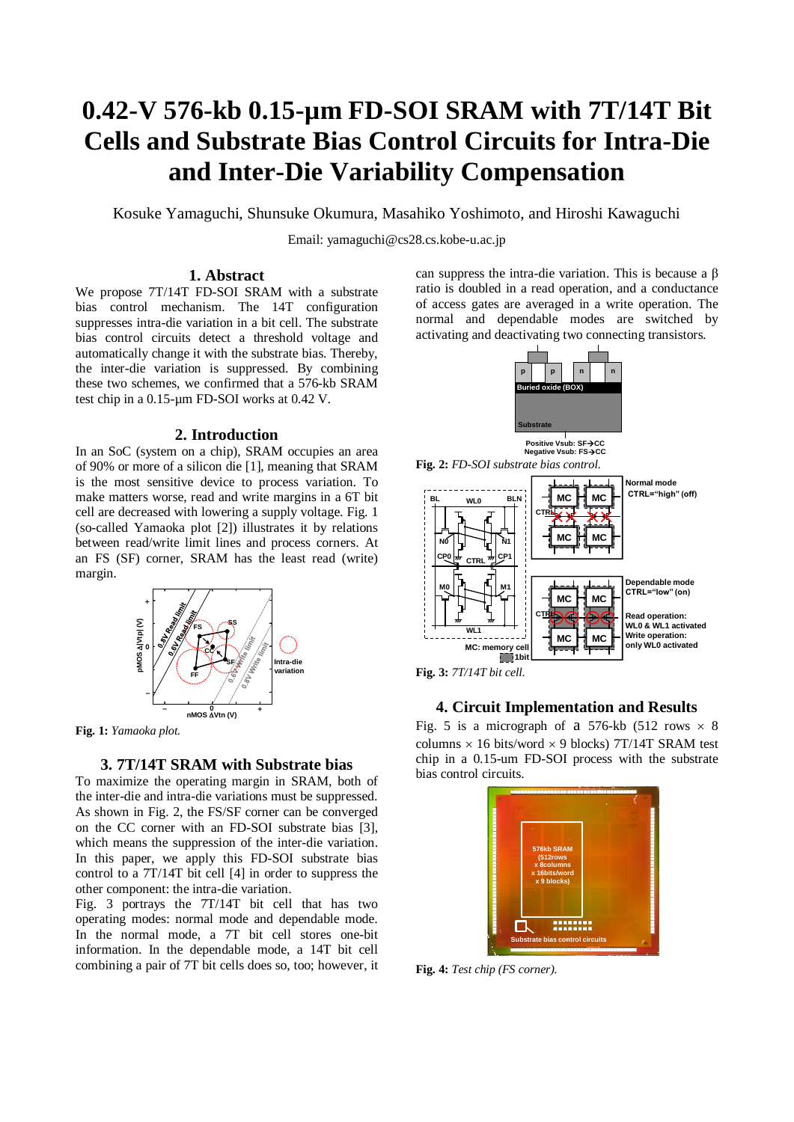# **0.42-V 576-kb 0.15-µm FD-SOI SRAM with 7T/14T Bit Cells and Substrate Bias Control Circuits for Intra-Die and Inter-Die Variability Compensation**

Kosuke Yamaguchi, Shunsuke Okumura, Masahiko Yoshimoto, and Hiroshi Kawaguchi

Email: yamaguchi@cs28.cs.kobe-u.ac.jp

# **1. Abstract**

We propose 7T/14T FD-SOI SRAM with a substrate bias control mechanism. The 14T configuration suppresses intra-die variation in a bit cell. The substrate bias control circuits detect a threshold voltage and automatically change it with the substrate bias. Thereby, the inter-die variation is suppressed. By combining these two schemes, we confirmed that a 576-kb SRAM test chip in a 0.15-µm FD-SOI works at 0.42 V.

## **2. Introduction**

In an SoC (system on a chip), SRAM occupies an area of 90% or more of a silicon die [1], meaning that SRAM is the most sensitive device to process variation. To make matters worse, read and write margins in a 6T bit cell are decreased with lowering a supply voltage. Fig. 1 (so-called Yamaoka plot [2]) illustrates it by relations between read/write limit lines and process corners. At an FS (SF) corner, SRAM has the least read (write) margin.



**Fig. 1:** *Yamaoka plot.*

## **3. 7T/14T SRAM with Substrate bias**

To maximize the operating margin in SRAM, both of the inter-die and intra-die variations must be suppressed. As shown in Fig. 2, the FS/SF corner can be converged on the CC corner with an FD-SOI substrate bias [3], which means the suppression of the inter-die variation. In this paper, we apply this FD-SOI substrate bias control to a 7T/14T bit cell [4] in order to suppress the other component: the intra-die variation.

Fig. 3 portrays the 7T/14T bit cell that has two operating modes: normal mode and dependable mode. In the normal mode, a 7T bit cell stores one-bit information. In the dependable mode, a 14T bit cell combining a pair of 7T bit cells does so, too; however, it can suppress the intra-die variation. This is because a β ratio is doubled in a read operation, and a conductance of access gates are averaged in a write operation. The normal and dependable modes are switched by activating and deactivating two connecting transistors.





**Fig. 3:** *7T/14T bit cell.*

# **4. Circuit Implementation and Results**

Fig. 5 is a micrograph of a 576-kb (512 rows  $\times$  8 columns  $\times$  16 bits/word  $\times$  9 blocks) 7T/14T SRAM test chip in a 0.15-um FD-SOI process with the substrate bias control circuits.



**Fig. 4:** *Test chip (FS corner).*